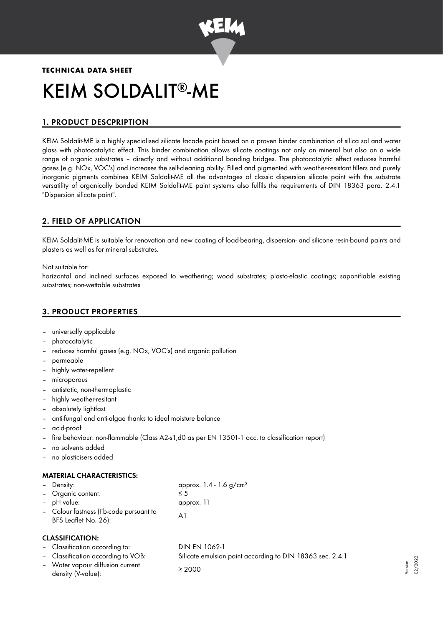

# **TECHNICAL DATA SHEET** KEIM SOLDALIT®-ME

# 1. PRODUCT DESCPRIPTION

KEIM Soldalit-ME is a highly specialised silicate facade paint based on a proven binder combination of silica sol and water glass with photocatalytic effect. This binder combination allows silicate coatings not only on mineral but also on a wide range of organic substrates – directly and without additional bonding bridges. The photocatalytic effect reduces harmful gases (e.g. NOx, VOC's) and increases the self-cleaning ability. Filled and pigmented with weather-resistant fillers and purely inorganic pigments combines KEIM Soldalit-ME all the advantages of classic dispersion silicate paint with the substrate versatility of organically bonded KEIM Soldalit-ME paint systems also fulfils the requirements of DIN 18363 para. 2.4.1 "Dispersion silicate paint".

## 2. FIELD OF APPLICATION

KEIM Soldalit-ME is suitable for renovation and new coating of load-bearing, dispersion- and silicone resin-bound paints and plasters as well as for mineral substrates.

Not suitable for:

horizontal and inclined surfaces exposed to weathering; wood substrates; plasto-elastic coatings; saponifiable existing substrates; non-wettable substrates

## 3. PRODUCT PROPERTIES

- universally applicable
- photocatalytic
- reduces harmful gases (e.g. NOx, VOC's) and organic pollution
- permeable
- highly water-repellent
- microporous
- antistatic, non-thermoplastic
- highly weather-resitant
- absolutely lightfast
- anti-fungal and anti-algae thanks to ideal moisture balance
- acid-proof
- fire behaviour: non-flammable (Class A2-s1,d0 as per EN 13501-1 acc. to classification report)
- no solvents added
- no plasticisers added

## MATERIAL CHARACTERISTICS:

| - Density:                             | approx. $1.4 - 1.6$ g/cm <sup>3</sup> |
|----------------------------------------|---------------------------------------|
| - Organic content:                     | $\leq 5$                              |
| - pH value:                            | approx. 11                            |
| - Colour fastness (Fb-code pursuant to | A1                                    |
| BFS Leaflet No. 26):                   |                                       |

#### CLASSIFICATION:

| - Classification according to:                         | DIN EN 1062-1                                             |
|--------------------------------------------------------|-----------------------------------------------------------|
| - Classification according to VOB:                     | Silicate emulsion paint according to DIN 18363 sec. 2.4.1 |
| - Water vapour diffusion current<br>density (V-value): | $\geq 2000$                                               |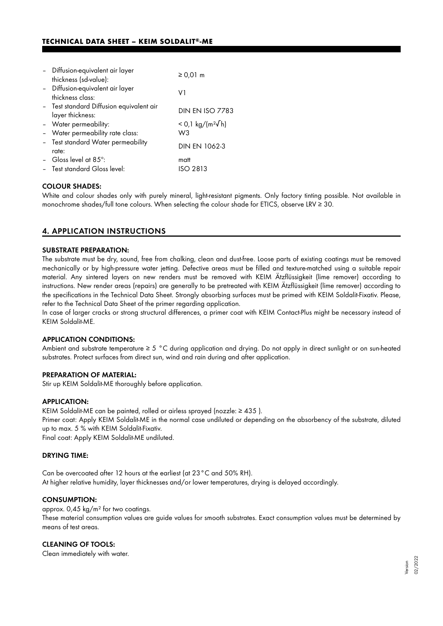## **TECHNICAL DATA SHEET - KEIM SOLDALIT®-ME**

| - Diffusion-equivalent air layer<br>thickness (sd-value):    | $\geq 0.01$ m                |
|--------------------------------------------------------------|------------------------------|
| - Diffusion-equivalent air layer<br>thickness class:         | V1                           |
| - Test standard Diffusion equivalent air<br>layer thickness: | <b>DIN EN ISO 7783</b>       |
| - Water permeability:                                        | < 0,1 kg/(m <sup>2</sup> √h) |
| - Water permeability rate class:                             | W3                           |
| - Test standard Water permeability<br>rate:                  | <b>DIN EN 1062-3</b>         |
| - Gloss level at 85 $^{\circ}$ :                             | matt                         |
| - Test standard Gloss level:                                 | ISO 2813                     |

## COLOUR SHADES:

White and colour shades only with purely mineral, light-resistant pigments. Only factory tinting possible. Not available in monochrome shades/full tone colours. When selecting the colour shade for ETICS, observe LRV ≥ 30.

## 4. APPLICATION INSTRUCTIONS

#### SUBSTRATE PREPARATION:

The substrate must be dry, sound, free from chalking, clean and dust-free. Loose parts of existing coatings must be removed mechanically or by high-pressure water jetting. Defective areas must be filled and texture-matched using a suitable repair material. Any sintered layers on new renders must be removed with KEIM Ätzflüssigkeit (lime remover) according to instructions. New render areas (repairs) are generally to be pretreated with KEIM Ätzflüssigkeit (lime remover) according to the specifications in the Technical Data Sheet. Strongly absorbing surfaces must be primed with KEIM Soldalit-Fixativ. Please, refer to the Technical Data Sheet of the primer regarding application.

In case of larger cracks or strong structural differences, a primer coat with KEIM Contact-Plus might be necessary instead of KEIM Soldalit-ME.

#### APPLICATION CONDITIONS:

Ambient and substrate temperature  $\geq 5$  °C during application and drying. Do not apply in direct sunlight or on sun-heated substrates. Protect surfaces from direct sun, wind and rain during and after application.

#### PREPARATION OF MATERIAL:

Stir up KEIM Soldalit-ME thoroughly before application.

#### APPLICATION:

KEIM Soldalit-ME can be painted, rolled or airless sprayed (nozzle: ≥ 435 ). Primer coat: Apply KEIM Soldalit-ME in the normal case undiluted or depending on the absorbency of the substrate, diluted up to max. 5 % with KEIM Soldalit-Fixativ. Final coat: Apply KEIM Soldalit-ME undiluted.

#### DRYING TIME:

Can be overcoated after 12 hours at the earliest (at 23°C and 50% RH). At higher relative humidity, layer thicknesses and/or lower temperatures, drying is delayed accordingly.

#### CONSUMPTION:

approx. 0,45 kg/m² for two coatings.

These material consumption values are guide values for smooth substrates. Exact consumption values must be determined by means of test areas.

#### CLEANING OF TOOLS:

Clean immediately with water.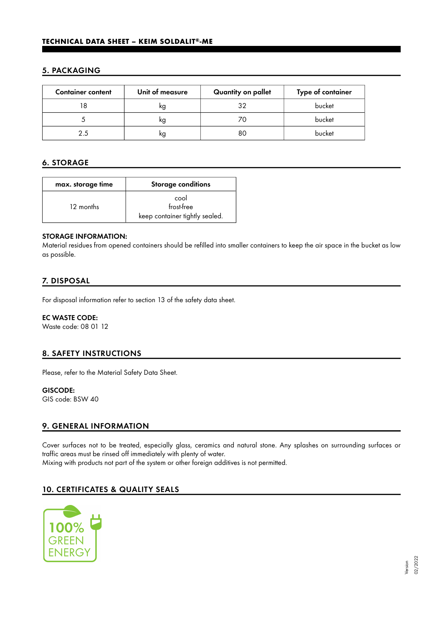## 5. PACKAGING

| <b>Container content</b> | Unit of measure | Quantity on pallet | Type of container |
|--------------------------|-----------------|--------------------|-------------------|
|                          | ĸg              | 32                 | bucket            |
|                          | kg              |                    | bucket            |
|                          | κg              | 80                 | bucket            |

## 6. STORAGE

| max. storage time | <b>Storage conditions</b>      |  |
|-------------------|--------------------------------|--|
|                   | cool                           |  |
| 12 months         | frost-free                     |  |
|                   | keep container tightly sealed. |  |

#### STORAGE INFORMATION:

Material residues from opened containers should be refilled into smaller containers to keep the air space in the bucket as low as possible.

## 7. DISPOSAL

For disposal information refer to section 13 of the safety data sheet.

## EC WASTE CODE:

Waste code: 08 01 12

## 8. SAFETY INSTRUCTIONS

Please, refer to the Material Safety Data Sheet.

# GISCODE:

GIS code: BSW 40

## 9. GENERAL INFORMATION

Cover surfaces not to be treated, especially glass, ceramics and natural stone. Any splashes on surrounding surfaces or traffic areas must be rinsed off immediately with plenty of water. Mixing with products not part of the system or other foreign additives is not permitted.

## 10. CERTIFICATES & QUALITY SEALS